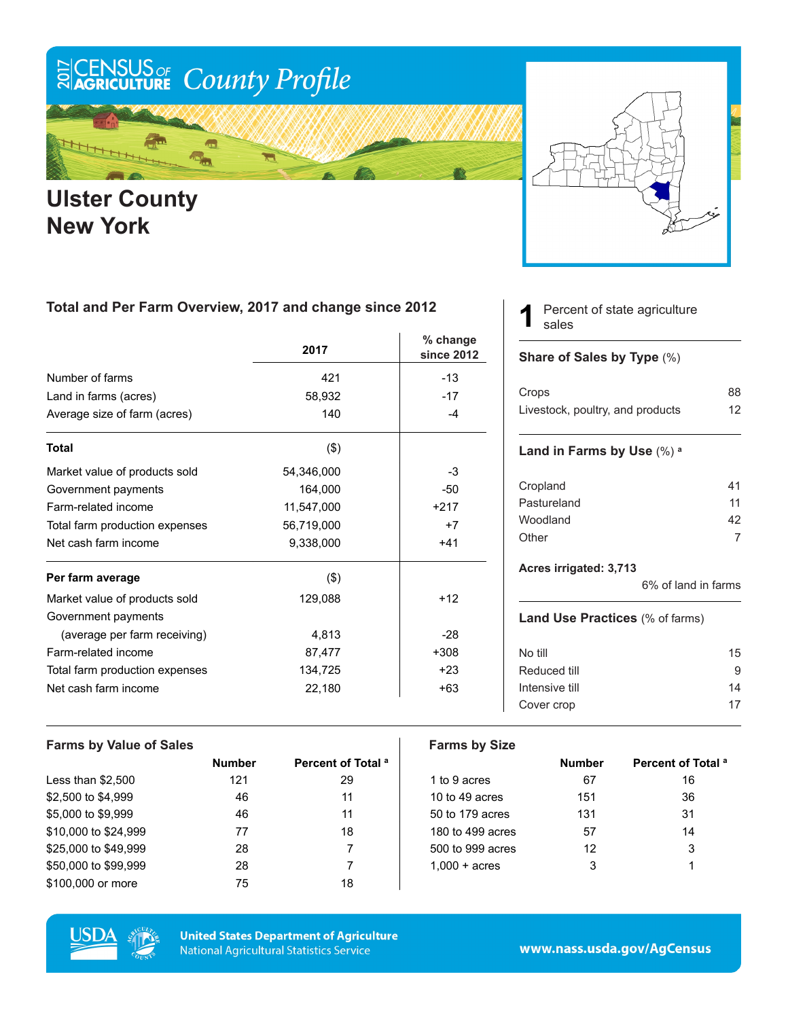# ECENSUS OF County Profile

m у.<br>Кал

### **Ulster County New York**



### **Total and Per Farm Overview, 2017 and change since 2012**

|                                | 2017       | $%$ change<br>since 2012 |
|--------------------------------|------------|--------------------------|
| Number of farms                | 421        | $-13$                    |
| Land in farms (acres)          | 58,932     | $-17$                    |
| Average size of farm (acres)   | 140        | $-4$                     |
| <b>Total</b>                   | $($ \$)    |                          |
| Market value of products sold  | 54,346,000 | -3                       |
| Government payments            | 164,000    | $-50$                    |
| Farm-related income            | 11,547,000 | $+217$                   |
| Total farm production expenses | 56,719,000 | $+7$                     |
| Net cash farm income           | 9,338,000  | $+41$                    |
| Per farm average               | $($ \$)    |                          |
| Market value of products sold  | 129,088    | $+12$                    |
| Government payments            |            |                          |
| (average per farm receiving)   | 4,813      | $-28$                    |
| Farm-related income            | 87,477     | $+308$                   |
| Total farm production expenses | 134,725    | $+23$                    |
| Net cash farm income           | 22,180     | $+63$                    |

Percent of state agriculture sales **1**

#### **Share of Sales by Type** (%)

| Crops                            | 88 |
|----------------------------------|----|
| Livestock, poultry, and products | 12 |

#### **Land in Farms by Use** (%) **<sup>a</sup>**

| 41 |
|----|
| 11 |
| 42 |
|    |
|    |

#### **Acres irrigated: 3,713**

6% of land in farms

#### **Land Use Practices** (% of farms)

| No till        | 15 |
|----------------|----|
| Reduced till   | g  |
| Intensive till | 14 |
| Cover crop     | 17 |
|                |    |

| <b>Farms by Value of Sales</b> |               |                               | <b>Farms by Size</b>   |               |                           |
|--------------------------------|---------------|-------------------------------|------------------------|---------------|---------------------------|
|                                | <b>Number</b> | Percent of Total <sup>a</sup> |                        | <b>Number</b> | <b>Percent of Total a</b> |
| Less than $$2,500$             | 121           | 29                            | 1 to 9 acres           | 67            | 16                        |
| \$2,500 to \$4,999             | 46            | 11                            | 10 to 49 acres         | 151           | 36                        |
| \$5,000 to \$9,999             | 46            | 11                            | 50 to 179 acres        | 131           | 31                        |
| \$10,000 to \$24,999           | 77            | 18                            | 180 to 499 acres       | 57            | 14                        |
| \$25,000 to \$49.999           | 28            |                               | 500 to 999 acres       | 12            | 3                         |
| \$50,000 to \$99,999           | 28            |                               | $1.000 + \text{acres}$ | 3             |                           |
| \$100,000 or more              | 75            | 18                            |                        |               |                           |



**United States Department of Agriculture National Agricultural Statistics Service** 

www.nass.usda.gov/AgCensus